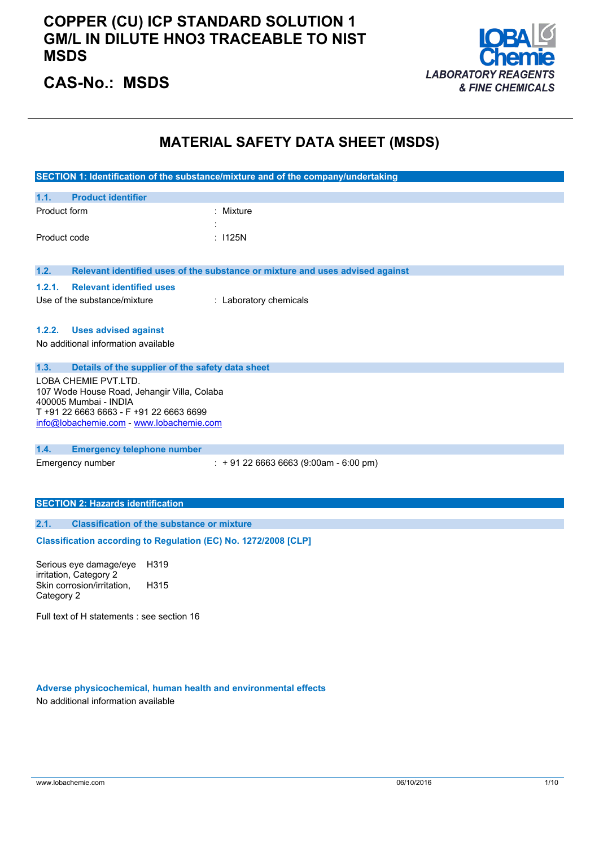### **COPPER (CU) ICP STANDARD SOLUTION 1 GM/L IN DILUTE HNO3 TRACEABLE TO NIST MSDS**



## **CAS-No.: MSDS**

#### **MATERIAL SAFETY DATA SHEET (MSDS)**

|                                                                                                                                                                                     | SECTION 1: Identification of the substance/mixture and of the company/undertaking |  |
|-------------------------------------------------------------------------------------------------------------------------------------------------------------------------------------|-----------------------------------------------------------------------------------|--|
| 1.1.<br><b>Product identifier</b>                                                                                                                                                   |                                                                                   |  |
| Product form                                                                                                                                                                        | Mixture                                                                           |  |
|                                                                                                                                                                                     |                                                                                   |  |
| Product code                                                                                                                                                                        | : 1125N                                                                           |  |
| 1.2.                                                                                                                                                                                | Relevant identified uses of the substance or mixture and uses advised against     |  |
| 1.2.1.<br><b>Relevant identified uses</b>                                                                                                                                           |                                                                                   |  |
| Use of the substance/mixture                                                                                                                                                        | : Laboratory chemicals                                                            |  |
|                                                                                                                                                                                     |                                                                                   |  |
| 1.2.2.<br><b>Uses advised against</b>                                                                                                                                               |                                                                                   |  |
| No additional information available                                                                                                                                                 |                                                                                   |  |
|                                                                                                                                                                                     |                                                                                   |  |
| 1.3.<br>Details of the supplier of the safety data sheet                                                                                                                            |                                                                                   |  |
| LOBA CHEMIE PVT.LTD.<br>107 Wode House Road, Jehangir Villa, Colaba<br>400005 Mumbai - INDIA<br>T +91 22 6663 6663 - F +91 22 6663 6699<br>info@lobachemie.com - www.lobachemie.com |                                                                                   |  |
| 1.4.<br><b>Emergency telephone number</b>                                                                                                                                           |                                                                                   |  |
| Emergency number                                                                                                                                                                    | $: +912266636663(9:00am - 6:00 pm)$                                               |  |
|                                                                                                                                                                                     |                                                                                   |  |
| <b>SECTION 2: Hazards identification</b>                                                                                                                                            |                                                                                   |  |
| <b>Classification of the substance or mixture</b><br>2.1.                                                                                                                           |                                                                                   |  |
| Classification according to Regulation (EC) No. 1272/2008 [CLP]                                                                                                                     |                                                                                   |  |
| Serious eye damage/eye H319                                                                                                                                                         |                                                                                   |  |

irritation, Category 2 Skin corrosion/irritation, Category 2 H315

Full text of H statements : see section 16

#### **Adverse physicochemical, human health and environmental effects** No additional information available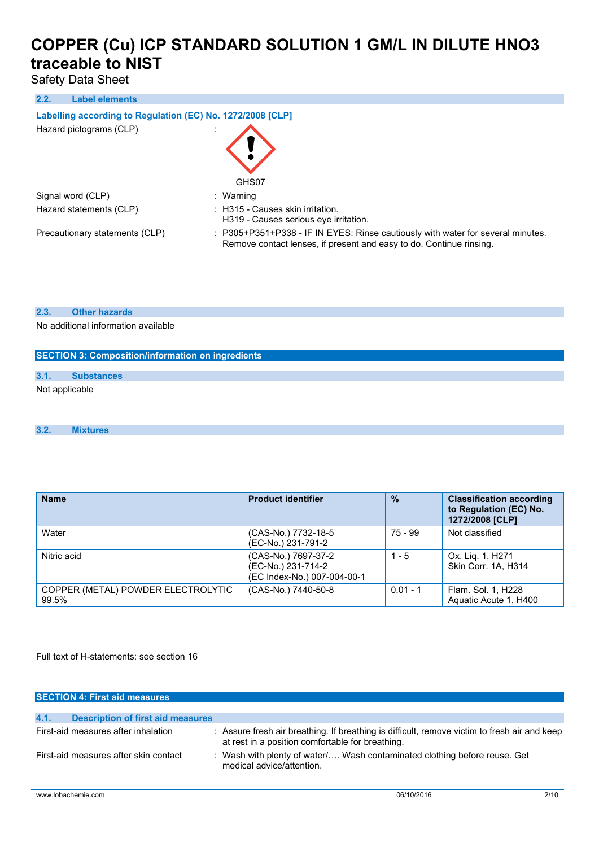Safety Data Sheet

#### **2.2. Label elements**

#### **Labelling according to** Regulation (EC) No. 1272/2008 [CLP]

| Hazard pictograms (CLP)        | GHS07                                                                                                                                                  |
|--------------------------------|--------------------------------------------------------------------------------------------------------------------------------------------------------|
| Signal word (CLP)              | : Warning                                                                                                                                              |
| Hazard statements (CLP)        | : H315 - Causes skin irritation.<br>H319 - Causes serious eye irritation.                                                                              |
| Precautionary statements (CLP) | : P305+P351+P338 - IF IN EYES: Rinse cautiously with water for several minutes.<br>Remove contact lenses, if present and easy to do. Continue rinsing. |

#### **2.3. Other hazards**

No additional information available

# **SECTION 3: Composition/information on ingredients 3.1. Substances** Not applicable

#### **3.2. Mixtures**

| <b>Name</b>                                 | <b>Product identifier</b>                                                | $\frac{0}{0}$ | <b>Classification according</b><br>to Regulation (EC) No.<br>1272/2008 [CLP] |
|---------------------------------------------|--------------------------------------------------------------------------|---------------|------------------------------------------------------------------------------|
| Water                                       | (CAS-No.) 7732-18-5<br>(EC-No.) 231-791-2                                | 75 - 99       | Not classified                                                               |
| Nitric acid                                 | (CAS-No.) 7697-37-2<br>(EC-No.) 231-714-2<br>(EC Index-No.) 007-004-00-1 | $1 - 5$       | Ox. Lig. 1, H271<br>Skin Corr. 1A. H314                                      |
| COPPER (METAL) POWDER ELECTROLYTIC<br>99.5% | (CAS-No.) 7440-50-8                                                      | $0.01 - 1$    | Flam. Sol. 1, H228<br>Aquatic Acute 1, H400                                  |

Full text of H-statements: see section 16

| <b>SECTION 4: First aid measures</b>             |                                                                                                                                                  |
|--------------------------------------------------|--------------------------------------------------------------------------------------------------------------------------------------------------|
| 4.1.<br><b>Description of first aid measures</b> |                                                                                                                                                  |
| First-aid measures after inhalation              | : Assure fresh air breathing. If breathing is difficult, remove victim to fresh air and keep<br>at rest in a position comfortable for breathing. |
| First-aid measures after skin contact            | : Wash with plenty of water Wash contaminated clothing before reuse. Get<br>medical advice/attention.                                            |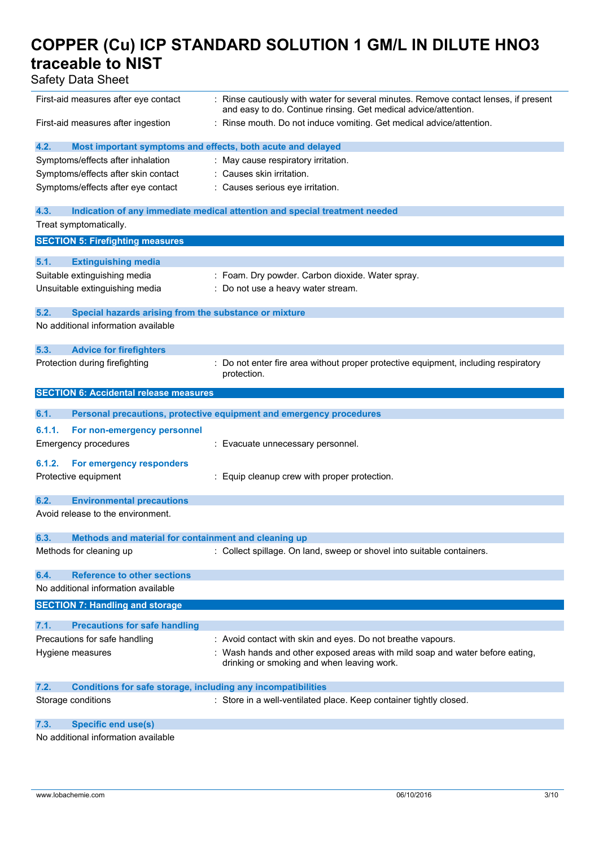Safety Data Sheet

| First-aid measures after eye contact                                        | : Rinse cautiously with water for several minutes. Remove contact lenses, if present<br>and easy to do. Continue rinsing. Get medical advice/attention. |
|-----------------------------------------------------------------------------|---------------------------------------------------------------------------------------------------------------------------------------------------------|
| First-aid measures after ingestion                                          | : Rinse mouth. Do not induce vomiting. Get medical advice/attention.                                                                                    |
| 4.2.                                                                        | Most important symptoms and effects, both acute and delayed                                                                                             |
| Symptoms/effects after inhalation                                           | : May cause respiratory irritation.                                                                                                                     |
| Symptoms/effects after skin contact                                         | : Causes skin irritation.                                                                                                                               |
| Symptoms/effects after eye contact                                          | : Causes serious eye irritation.                                                                                                                        |
|                                                                             |                                                                                                                                                         |
| 4.3.                                                                        | Indication of any immediate medical attention and special treatment needed                                                                              |
| Treat symptomatically.                                                      |                                                                                                                                                         |
| <b>SECTION 5: Firefighting measures</b>                                     |                                                                                                                                                         |
| 5.1.<br><b>Extinguishing media</b>                                          |                                                                                                                                                         |
| Suitable extinguishing media                                                | : Foam. Dry powder. Carbon dioxide. Water spray.                                                                                                        |
| Unsuitable extinguishing media                                              | : Do not use a heavy water stream.                                                                                                                      |
|                                                                             |                                                                                                                                                         |
| 5.2.<br>Special hazards arising from the substance or mixture               |                                                                                                                                                         |
| No additional information available                                         |                                                                                                                                                         |
| 5.3.                                                                        |                                                                                                                                                         |
| <b>Advice for firefighters</b>                                              |                                                                                                                                                         |
| Protection during firefighting                                              | Do not enter fire area without proper protective equipment, including respiratory<br>protection.                                                        |
| <b>SECTION 6: Accidental release measures</b>                               |                                                                                                                                                         |
| 6.1.                                                                        | Personal precautions, protective equipment and emergency procedures                                                                                     |
|                                                                             |                                                                                                                                                         |
| 6.1.1.<br>For non-emergency personnel                                       |                                                                                                                                                         |
| <b>Emergency procedures</b>                                                 | : Evacuate unnecessary personnel.                                                                                                                       |
| 6.1.2.<br>For emergency responders                                          |                                                                                                                                                         |
| Protective equipment                                                        | : Equip cleanup crew with proper protection.                                                                                                            |
|                                                                             |                                                                                                                                                         |
| 6.2.<br><b>Environmental precautions</b>                                    |                                                                                                                                                         |
| Avoid release to the environment.                                           |                                                                                                                                                         |
| 6.3.<br>Methods and material for containment and cleaning up                |                                                                                                                                                         |
| Methods for cleaning up                                                     | : Collect spillage. On land, sweep or shovel into suitable containers.                                                                                  |
|                                                                             |                                                                                                                                                         |
| <b>Reference to other sections</b><br>6.4.                                  |                                                                                                                                                         |
|                                                                             |                                                                                                                                                         |
| No additional information available                                         |                                                                                                                                                         |
| <b>SECTION 7: Handling and storage</b>                                      |                                                                                                                                                         |
|                                                                             |                                                                                                                                                         |
| 7.1.<br><b>Precautions for safe handling</b>                                |                                                                                                                                                         |
| Precautions for safe handling                                               | : Avoid contact with skin and eyes. Do not breathe vapours.                                                                                             |
| Hygiene measures                                                            | Wash hands and other exposed areas with mild soap and water before eating,<br>drinking or smoking and when leaving work.                                |
|                                                                             |                                                                                                                                                         |
| 7.2.<br><b>Conditions for safe storage, including any incompatibilities</b> |                                                                                                                                                         |
| Storage conditions                                                          | : Store in a well-ventilated place. Keep container tightly closed.                                                                                      |
| 7.3.<br><b>Specific end use(s)</b>                                          |                                                                                                                                                         |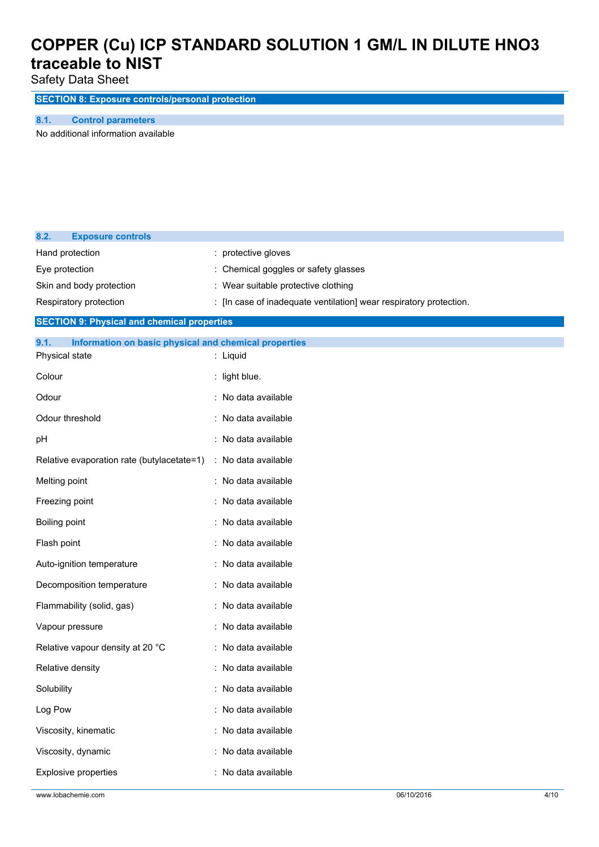Safety Data Sheet

**SECTION 8: Exposure controls/personal protection**

**8.1. Control parameters**

No additional information available

| 8.2.<br><b>Exposure controls</b>                              |                                                                    |
|---------------------------------------------------------------|--------------------------------------------------------------------|
| Hand protection                                               | protective gloves                                                  |
| Eye protection                                                | Chemical goggles or safety glasses                                 |
| Skin and body protection                                      | : Wear suitable protective clothing                                |
| Respiratory protection                                        | : [In case of inadequate ventilation] wear respiratory protection. |
| <b>SECTION 9: Physical and chemical properties</b>            |                                                                    |
| 9.1.<br>Information on basic physical and chemical properties |                                                                    |
| Physical state                                                | : Liquid                                                           |
| Colour                                                        | : light blue.                                                      |
| Odour                                                         | : No data available                                                |
| Odour threshold                                               | : No data available                                                |
| pH                                                            | : No data available                                                |
| Relative evaporation rate (butylacetate=1)                    | : No data available                                                |
| Melting point                                                 | : No data available                                                |
| Freezing point                                                | : No data available                                                |
| <b>Boiling point</b>                                          | : No data available                                                |
| Flash point                                                   | : No data available                                                |
| Auto-ignition temperature                                     | : No data available                                                |
| Decomposition temperature                                     | : No data available                                                |
| Flammability (solid, gas)                                     | : No data available                                                |
| Vapour pressure                                               | No data available                                                  |
| Relative vapour density at 20 °C                              | No data available                                                  |
| Relative density                                              | : No data available                                                |
| Solubility                                                    | No data available                                                  |
| Log Pow                                                       | : No data available                                                |
| Viscosity, kinematic                                          | : No data available                                                |
| Viscosity, dynamic                                            | : No data available                                                |
| Explosive properties                                          | : No data available                                                |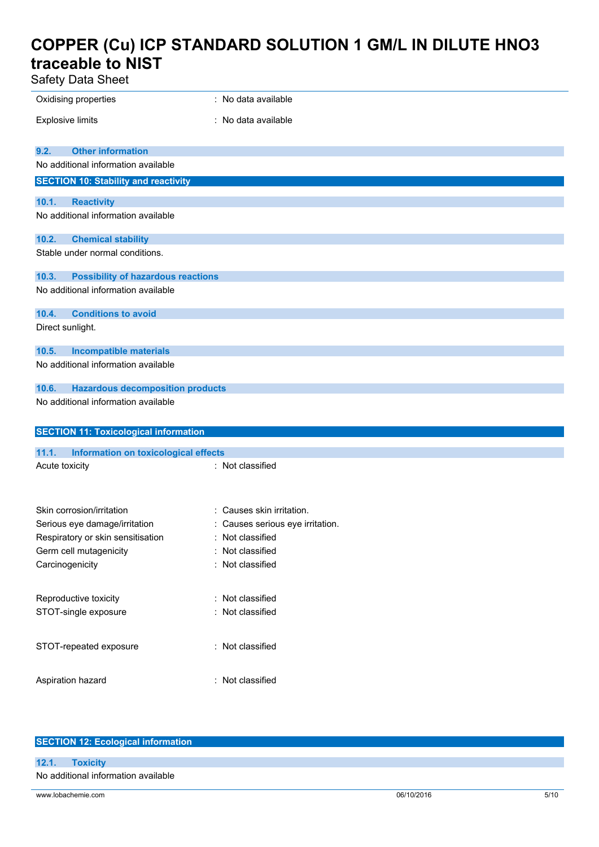Safety Data Sheet

| Safety Data Sheet                                    |                                  |
|------------------------------------------------------|----------------------------------|
| Oxidising properties                                 | : No data available              |
| <b>Explosive limits</b>                              | : No data available              |
| <b>Other information</b><br>9.2.                     |                                  |
| No additional information available                  |                                  |
| <b>SECTION 10: Stability and reactivity</b>          |                                  |
| 10.1.<br><b>Reactivity</b>                           |                                  |
| No additional information available                  |                                  |
| 10.2.<br><b>Chemical stability</b>                   |                                  |
| Stable under normal conditions.                      |                                  |
| 10.3.<br><b>Possibility of hazardous reactions</b>   |                                  |
| No additional information available                  |                                  |
| 10.4.<br><b>Conditions to avoid</b>                  |                                  |
| Direct sunlight.                                     |                                  |
| 10.5.<br><b>Incompatible materials</b>               |                                  |
| No additional information available                  |                                  |
| <b>Hazardous decomposition products</b><br>10.6.     |                                  |
| No additional information available                  |                                  |
|                                                      |                                  |
| <b>SECTION 11: Toxicological information</b>         |                                  |
| 11.1.<br><b>Information on toxicological effects</b> |                                  |
| Acute toxicity                                       | : Not classified                 |
|                                                      |                                  |
| Skin corrosion/irritation                            | : Causes skin irritation.        |
| Serious eye damage/irritation                        | : Causes serious eye irritation. |
| Respiratory or skin sensitisation                    | : Not classified                 |
| Germ cell mutagenicity                               | : Not classified                 |
| Carcinogenicity                                      | : Not classified                 |
|                                                      |                                  |
| Reproductive toxicity                                | : Not classified                 |
| STOT-single exposure                                 | : Not classified                 |
| STOT-repeated exposure                               | : Not classified                 |
| Aspiration hazard                                    | : Not classified                 |
|                                                      |                                  |

| <b>SECTION 12: Ecological information</b> |            |      |  |
|-------------------------------------------|------------|------|--|
|                                           |            |      |  |
| 12.1.<br><b>Toxicity</b>                  |            |      |  |
| No additional information available       |            |      |  |
|                                           |            |      |  |
| www.lobachemie.com                        | 06/10/2016 | 5/10 |  |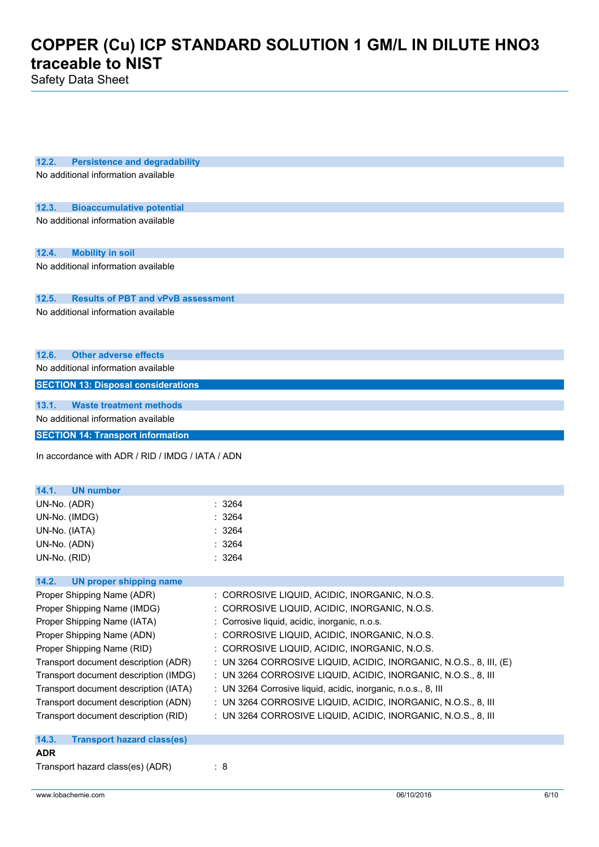Safety Data Sheet

| 12.2.<br><b>Persistence and degradability</b>            |                                                                    |
|----------------------------------------------------------|--------------------------------------------------------------------|
| No additional information available                      |                                                                    |
|                                                          |                                                                    |
|                                                          |                                                                    |
| 12.3.<br><b>Bioaccumulative potential</b>                |                                                                    |
| No additional information available                      |                                                                    |
|                                                          |                                                                    |
| 12.4.<br><b>Mobility in soil</b>                         |                                                                    |
| No additional information available                      |                                                                    |
|                                                          |                                                                    |
| <b>Results of PBT and vPvB assessment</b><br>12.5.       |                                                                    |
| No additional information available                      |                                                                    |
|                                                          |                                                                    |
|                                                          |                                                                    |
|                                                          |                                                                    |
| <b>Other adverse effects</b><br>12.6.                    |                                                                    |
| No additional information available                      |                                                                    |
| <b>SECTION 13: Disposal considerations</b>               |                                                                    |
| <b>Waste treatment methods</b><br>13.1.                  |                                                                    |
| No additional information available                      |                                                                    |
| <b>SECTION 14: Transport information</b>                 |                                                                    |
|                                                          |                                                                    |
| In accordance with ADR / RID / IMDG / IATA / ADN         |                                                                    |
|                                                          |                                                                    |
|                                                          |                                                                    |
|                                                          |                                                                    |
| 14.1.<br><b>UN number</b>                                |                                                                    |
| UN-No. (ADR)                                             | : 3264                                                             |
| UN-No. (IMDG)                                            | 3264                                                               |
| UN-No. (IATA)                                            | 3264                                                               |
| UN-No. (ADN)                                             | 3264                                                               |
| UN-No. (RID)                                             | : 3264                                                             |
|                                                          |                                                                    |
| 14.2.<br><b>UN proper shipping name</b>                  |                                                                    |
| Proper Shipping Name (ADR)                               | : CORROSIVE LIQUID, ACIDIC, INORGANIC, N.O.S.                      |
| Proper Shipping Name (IMDG)                              | : CORROSIVE LIQUID, ACIDIC, INORGANIC, N.O.S.                      |
| Proper Shipping Name (IATA)                              | : Corrosive liquid, acidic, inorganic, n.o.s.                      |
| Proper Shipping Name (ADN)                               | : CORROSIVE LIQUID, ACIDIC, INORGANIC, N.O.S.                      |
| Proper Shipping Name (RID)                               | : CORROSIVE LIQUID, ACIDIC, INORGANIC, N.O.S.                      |
| Transport document description (ADR)                     | : UN 3264 CORROSIVE LIQUID, ACIDIC, INORGANIC, N.O.S., 8, III, (E) |
| Transport document description (IMDG)                    | : UN 3264 CORROSIVE LIQUID, ACIDIC, INORGANIC, N.O.S., 8, III      |
| Transport document description (IATA)                    | : UN 3264 Corrosive liquid, acidic, inorganic, n.o.s., 8, III      |
| Transport document description (ADN)                     | : UN 3264 CORROSIVE LIQUID, ACIDIC, INORGANIC, N.O.S., 8, III      |
| Transport document description (RID)                     | : UN 3264 CORROSIVE LIQUID, ACIDIC, INORGANIC, N.O.S., 8, III      |
|                                                          |                                                                    |
| 14.3.<br><b>Transport hazard class(es)</b><br><b>ADR</b> |                                                                    |
| Transport hazard class(es) (ADR)                         | $\therefore$ 8                                                     |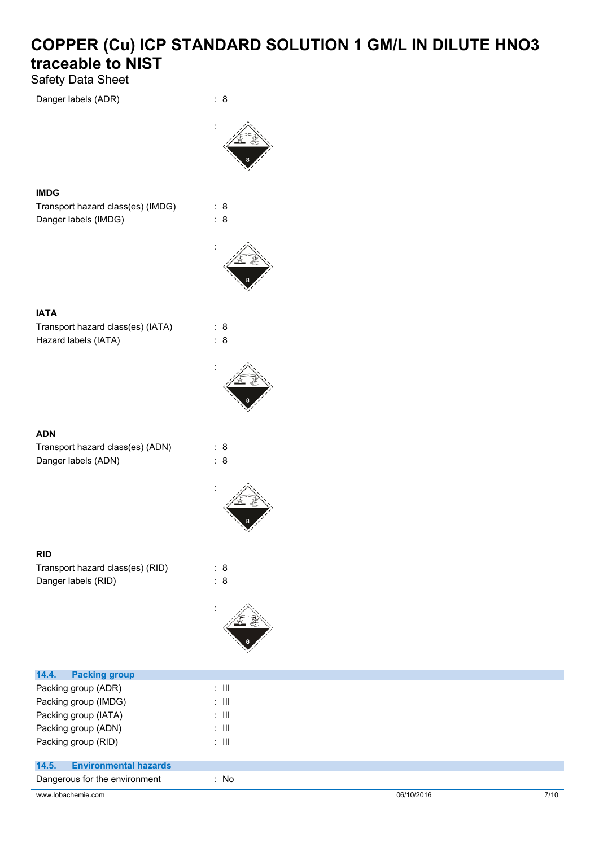Safety Data Sheet



| Packing group (ADN) | : III |
|---------------------|-------|
| Packing group (RID) | : III |

### **14.5. Environmental hazards**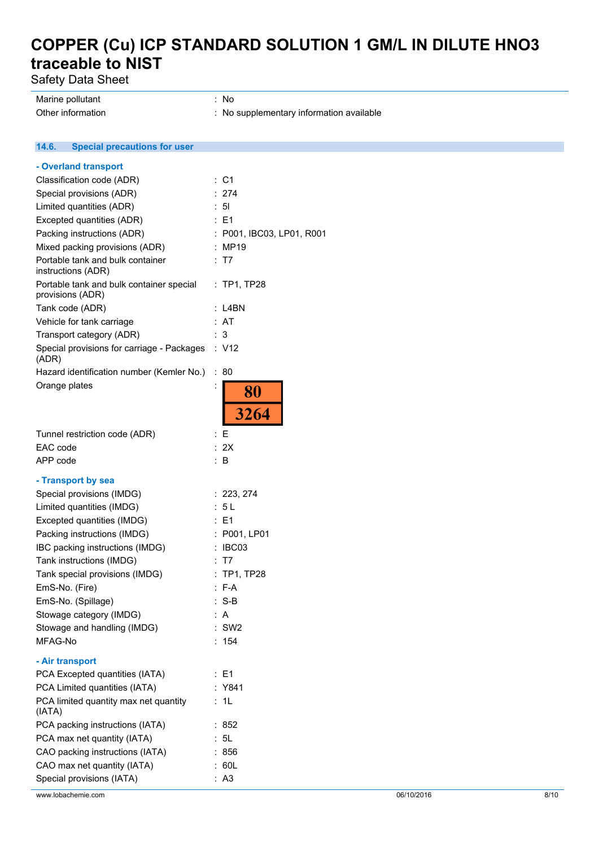Safety Data Sheet

**14.6. Special precautions for user**

Marine pollutant in the set of the set of the set of the set of the set of the set of the set of the set of the set of the set of the set of the set of the set of the set of the set of the set of the set of the set of the Other information  $\blacksquare$ : No supplementary information available

**- Overland transport** Classification code (ADR) : C1 Special provisions (ADR) : 274 Limited quantities (ADR) : 5l Excepted quantities (ADR) : E1 Packing instructions (ADR) : P001, IBC03, LP01, R001 Mixed packing provisions (ADR) : MP19 Portable tank and bulk container : T7 instructions (ADR) : TP1, TP28 Portable tank and bulk container special provisions (ADR) Tank code (ADR) : L4BN Vehicle for tank carriage : AT Transport category (ADR) : 3 Special provisions for carriage - Packages : V12 (ADR) Hazard identification number (Kemler No.) : 80 Orange plates is a set of the set of the set of the set of the set of the set of the set of the set of the set of the set of the set of the set of the set of the set of the set of the set of the set of the set of the set o 80 3264 Tunnel restriction code (ADR) : E EAC code : 2X APP code : B **- Transport by sea** Special provisions (IMDG) : 223, 274 Limited quantities (IMDG) : 5 L Excepted quantities (IMDG) : E1 Packing instructions (IMDG) : P001, LP01 IBC packing instructions (IMDG) : IBC03 Tank instructions (IMDG) **: T7** Tank special provisions (IMDG) : TP1, TP28 EmS-No. (Fire) : F-A EmS-No. (Spillage) : S-B Stowage category (IMDG) : A Stowage and handling (IMDG) : SW2 MFAG-No : 154 **- Air transport** PCA Excepted quantities (IATA) : E1 PCA Limited quantities (IATA) : Y841 PCA limited quantity max net quantity : 1L (IATA) PCA packing instructions (IATA) : 852 PCA max net quantity (IATA) : 5L CAO packing instructions (IATA) : 856 CAO max net quantity (IATA) : 60L Special provisions (IATA) : A3 www.lobachemie.com 8/10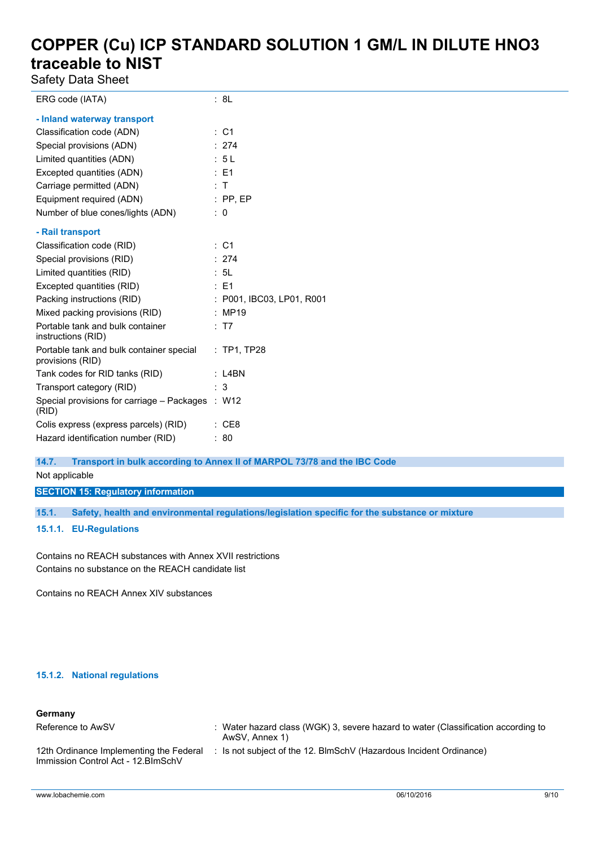Safety Data Sheet

| ERG code (IATA)                                              | : 8L                      |
|--------------------------------------------------------------|---------------------------|
| - Inland waterway transport                                  |                           |
| Classification code (ADN)                                    | $\therefore$ C1           |
| Special provisions (ADN)                                     | : 274                     |
| Limited quantities (ADN)                                     | : 5L                      |
| Excepted quantities (ADN)                                    | $\therefore$ E1           |
| Carriage permitted (ADN)                                     | $\therefore$ T            |
| Equipment required (ADN)                                     | $:$ PP, EP                |
| Number of blue cones/lights (ADN)                            | $\therefore$ 0            |
| - Rail transport                                             |                           |
| Classification code (RID)                                    | $\therefore$ C1           |
| Special provisions (RID)                                     | : 274                     |
| Limited quantities (RID)                                     | : 5L                      |
| Excepted quantities (RID)                                    | $\therefore$ E1           |
| Packing instructions (RID)                                   | : P001, IBC03, LP01, R001 |
| Mixed packing provisions (RID)                               | : MP19                    |
| Portable tank and bulk container<br>instructions (RID)       | : T7                      |
| Portable tank and bulk container special<br>provisions (RID) | $:$ TP1, TP28             |
| Tank codes for RID tanks (RID)                               | $:$ L4BN                  |
| Transport category (RID)                                     | : 3                       |
| Special provisions for carriage - Packages : W12<br>(RID)    |                           |
| Colis express (express parcels) (RID)                        | : CE8                     |
| Hazard identification number (RID)                           | : 80                      |

**14.7. Transport in bulk according to Annex II of MARPOL 73/78 and the IBC Code**

Not applicable

**SECTION 15: Regulatory information**

**15.1. Safety, health and environmental regulations/legislation specific for the substance or mixture**

**15.1.1. EU-Regulations**

Contains no REACH substances with Annex XVII restrictions Contains no substance on the REACH candidate list

Contains no REACH Annex XIV substances

#### **15.1.2. National regulations**

#### **Germany**

| Reference to AwSV                                                              | Water hazard class (WGK) 3, severe hazard to water (Classification according to<br>AwSV, Annex 1) |
|--------------------------------------------------------------------------------|---------------------------------------------------------------------------------------------------|
| 12th Ordinance Implementing the Federal<br>Immission Control Act - 12. BlmSchV | Is not subject of the 12. BlmSchV (Hazardous Incident Ordinance)                                  |